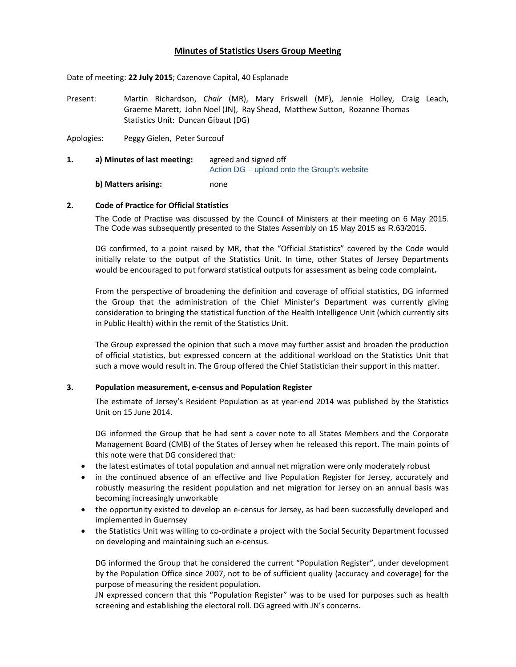# **Minutes of Statistics Users Group Meeting**

Date of meeting: **22 July 2015**; Cazenove Capital, 40 Esplanade

Present: Martin Richardson, *Chair* (MR), Mary Friswell (MF), Jennie Holley, Craig Leach, Graeme Marett, John Noel (JN), Ray Shead, Matthew Sutton, Rozanne Thomas Statistics Unit: Duncan Gibaut (DG)

Apologies: Peggy Gielen, Peter Surcouf

**1. a) Minutes of last meeting:** agreed and signed off Action DG – upload onto the Group's website **b) Matters arising:**  none

## **2. Code of Practice for Official Statistics**

The Code of Practise was discussed by the Council of Ministers at their meeting on 6 May 2015. The Code was subsequently presented to the States Assembly on 15 May 2015 as R.63/2015.

DG confirmed, to a point raised by MR, that the "Official Statistics" covered by the Code would initially relate to the output of the Statistics Unit. In time, other States of Jersey Departments would be encouraged to put forward statistical outputs for assessment as being code complaint**.**

From the perspective of broadening the definition and coverage of official statistics, DG informed the Group that the administration of the Chief Minister's Department was currently giving consideration to bringing the statistical function of the Health Intelligence Unit (which currently sits in Public Health) within the remit of the Statistics Unit.

The Group expressed the opinion that such a move may further assist and broaden the production of official statistics, but expressed concern at the additional workload on the Statistics Unit that such a move would result in. The Group offered the Chief Statistician their support in this matter.

#### **3. Population measurement, e‐census and Population Register**

The estimate of Jersey's Resident Population as at year-end 2014 was published by the Statistics Unit on 15 June 2014.

DG informed the Group that he had sent a cover note to all States Members and the Corporate Management Board (CMB) of the States of Jersey when he released this report. The main points of this note were that DG considered that:

- the latest estimates of total population and annual net migration were only moderately robust
- in the continued absence of an effective and live Population Register for Jersey, accurately and robustly measuring the resident population and net migration for Jersey on an annual basis was becoming increasingly unworkable
- the opportunity existed to develop an e-census for Jersey, as had been successfully developed and implemented in Guernsey
- the Statistics Unit was willing to co-ordinate a project with the Social Security Department focussed on developing and maintaining such an e‐census.

DG informed the Group that he considered the current "Population Register", under development by the Population Office since 2007, not to be of sufficient quality (accuracy and coverage) for the purpose of measuring the resident population.

JN expressed concern that this "Population Register" was to be used for purposes such as health screening and establishing the electoral roll. DG agreed with JN's concerns.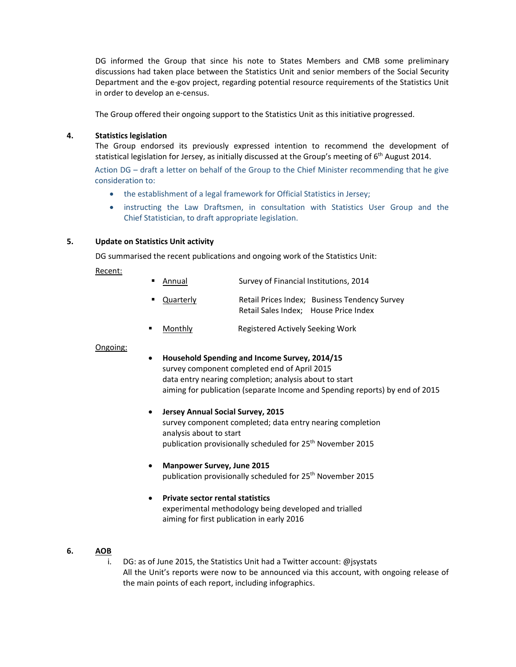DG informed the Group that since his note to States Members and CMB some preliminary discussions had taken place between the Statistics Unit and senior members of the Social Security Department and the e-gov project, regarding potential resource requirements of the Statistics Unit in order to develop an e‐census.

The Group offered their ongoing support to the Statistics Unit as this initiative progressed.

### **4. Statistics legislation**

The Group endorsed its previously expressed intention to recommend the development of statistical legislation for Jersey, as initially discussed at the Group's meeting of 6<sup>th</sup> August 2014. Action DG – draft a letter on behalf of the Group to the Chief Minister recommending that he give consideration to:

- the establishment of a legal framework for Official Statistics in Jersey;
- instructing the Law Draftsmen, in consultation with Statistics User Group and the Chief Statistician, to draft appropriate legislation.

#### **5. Update on Statistics Unit activity**

DG summarised the recent publications and ongoing work of the Statistics Unit:

Recent:

- Annual Survey of Financial Institutions, 2014
- Quarterly Retail Prices Index; Business Tendency Survey Retail Sales Index; House Price Index
- Monthly **Monthly** Registered Actively Seeking Work

#### Ongoing:

 **Household Spending and Income Survey, 2014/15** survey component completed end of April 2015 data entry nearing completion; analysis about to start aiming for publication (separate Income and Spending reports) by end of 2015

# **Jersey Annual Social Survey, 2015**

survey component completed; data entry nearing completion analysis about to start publication provisionally scheduled for 25<sup>th</sup> November 2015

- **Manpower Survey, June 2015** publication provisionally scheduled for 25<sup>th</sup> November 2015
- **Private sector rental statistics** experimental methodology being developed and trialled aiming for first publication in early 2016

#### **6. AOB**

i. DG: as of June 2015, the Statistics Unit had a Twitter account: @jsystats All the Unit's reports were now to be announced via this account, with ongoing release of the main points of each report, including infographics.